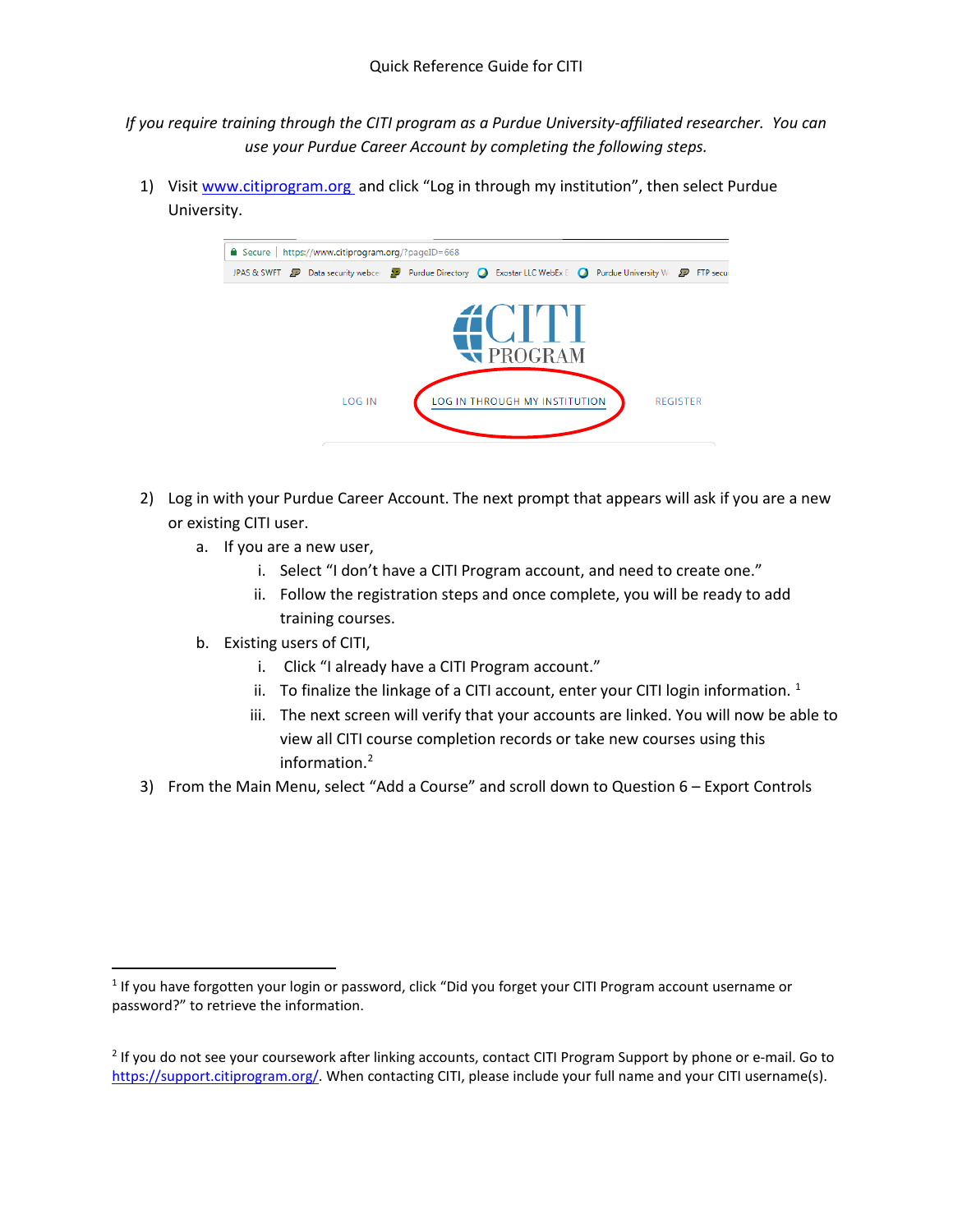*If you require training through the CITI program as a Purdue University-affiliated researcher. You can use your Purdue Career Account by completing the following steps.*

1) Visit [www.citiprogram.org](https://www.citiprogram.org/index.cfm?pageID=14) and click "Log in through my institution", then select Purdue University.



- 2) Log in with your Purdue Career Account. The next prompt that appears will ask if you are a new or existing CITI user.
	- a. If you are a new user,
		- i. Select "I don't have a CITI Program account, and need to create one."
		- ii. Follow the registration steps and once complete, you will be ready to add training courses.
	- b. Existing users of CITI,
		- i. Click "I already have a CITI Program account."
		- ii. To finalize the linkage of a CITI account, enter your CITI login information.  $1$
		- iii. The next screen will verify that your accounts are linked. You will now be able to view all CITI course completion records or take new courses using this information[.2](#page-0-1)
- 3) From the Main Menu, select "Add a Course" and scroll down to Question 6 Export Controls

<span id="page-0-0"></span> <sup>1</sup> If you have forgotten your login or password, click "Did you forget your CITI Program account username or password?" to retrieve the information.

<span id="page-0-1"></span><sup>&</sup>lt;sup>2</sup> If you do not see your coursework after linking accounts, contact CITI Program Support by phone or e-mail. Go to [https://support.citiprogram.org/.](https://support.citiprogram.org/) When contacting CITI, please include your full name and your CITI username(s).